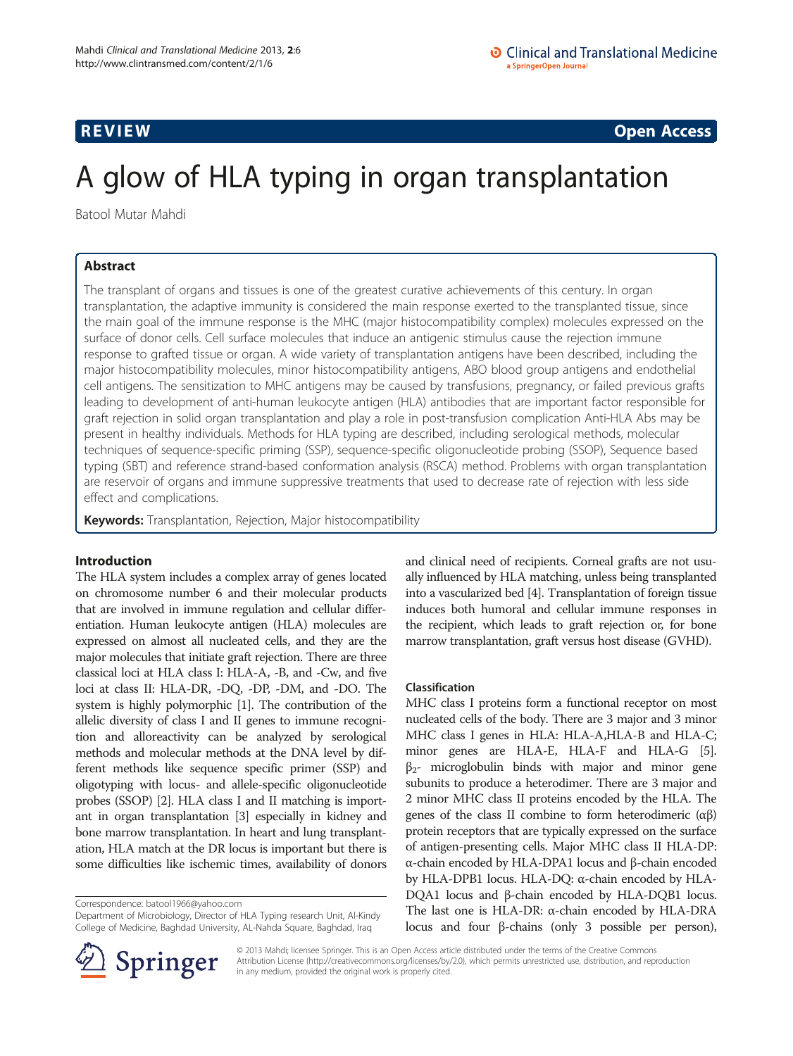**REVIEW CONSTRUCTION CONSTRUCTION CONSTRUCTS** 

# A glow of HLA typing in organ transplantation

Batool Mutar Mahdi

# Abstract

The transplant of organs and tissues is one of the greatest curative achievements of this century. In organ transplantation, the adaptive immunity is considered the main response exerted to the transplanted tissue, since the main goal of the immune response is the MHC (major histocompatibility complex) molecules expressed on the surface of donor cells. Cell surface molecules that induce an antigenic stimulus cause the rejection immune response to grafted tissue or organ. A wide variety of transplantation antigens have been described, including the major histocompatibility molecules, minor histocompatibility antigens, ABO blood group antigens and endothelial cell antigens. The sensitization to MHC antigens may be caused by transfusions, pregnancy, or failed previous grafts leading to development of anti-human leukocyte antigen (HLA) antibodies that are important factor responsible for graft rejection in solid organ transplantation and play a role in post-transfusion complication Anti-HLA Abs may be present in healthy individuals. Methods for HLA typing are described, including serological methods, molecular techniques of sequence-specific priming (SSP), sequence-specific oligonucleotide probing (SSOP), Sequence based typing (SBT) and reference strand-based conformation analysis (RSCA) method. Problems with organ transplantation are reservoir of organs and immune suppressive treatments that used to decrease rate of rejection with less side effect and complications.

**Keywords:** Transplantation, Rejection, Major histocompatibility

# Introduction

The HLA system includes a complex array of genes located on chromosome number 6 and their molecular products that are involved in immune regulation and cellular differentiation. Human leukocyte antigen (HLA) molecules are expressed on almost all nucleated cells, and they are the major molecules that initiate graft rejection. There are three classical loci at HLA class I: HLA-A, -B, and -Cw, and five loci at class II: HLA-DR, -DQ, -DP, -DM, and -DO. The system is highly polymorphic [\[1\]](#page-3-0). The contribution of the allelic diversity of class I and II genes to immune recognition and alloreactivity can be analyzed by serological methods and molecular methods at the DNA level by different methods like sequence specific primer (SSP) and oligotyping with locus- and allele-specific oligonucleotide probes (SSOP) [[2](#page-3-0)]. HLA class I and II matching is important in organ transplantation [[3](#page-3-0)] especially in kidney and bone marrow transplantation. In heart and lung transplantation, HLA match at the DR locus is important but there is some difficulties like ischemic times, availability of donors

Correspondence: [batool1966@yahoo.com](mailto:batool1966@yahoo.com)

Department of Microbiology, Director of HLA Typing research Unit, Al-Kindy College of Medicine, Baghdad University, AL-Nahda Square, Baghdad, Iraq

and clinical need of recipients. Corneal grafts are not usually influenced by HLA matching, unless being transplanted into a vascularized bed [\[4\]](#page-3-0). Transplantation of foreign tissue induces both humoral and cellular immune responses in the recipient, which leads to graft rejection or, for bone marrow transplantation, graft versus host disease (GVHD).

### Classification

MHC class I proteins form a functional receptor on most nucleated cells of the body. There are 3 major and 3 minor MHC class I genes in HLA: HLA-A,HLA-B and HLA-C; minor genes are HLA-E, HLA-F and HLA-G [[5](#page-3-0)].  $β<sub>2</sub>$ - microglobulin binds with major and minor gene subunits to produce a heterodimer. There are 3 major and 2 minor MHC class II proteins encoded by the HLA. The genes of the class II combine to form heterodimeric  $(αβ)$ protein receptors that are typically expressed on the surface of antigen-presenting cells. Major MHC class II HLA-DP: α-chain encoded by HLA-DPA1 locus and β-chain encoded by HLA-DPB1 locus. HLA-DQ: α-chain encoded by HLA-DQA1 locus and β-chain encoded by HLA-DQB1 locus. The last one is HLA-DR: α-chain encoded by HLA-DRA locus and four β-chains (only 3 possible per person),



© 2013 Mahdi; licensee Springer. This is an Open Access article distributed under the terms of the Creative Commons Attribution License [\(http://creativecommons.org/licenses/by/2.0\)](http://creativecommons.org/licenses/by/2.0), which permits unrestricted use, distribution, and reproduction in any medium, provided the original work is properly cited.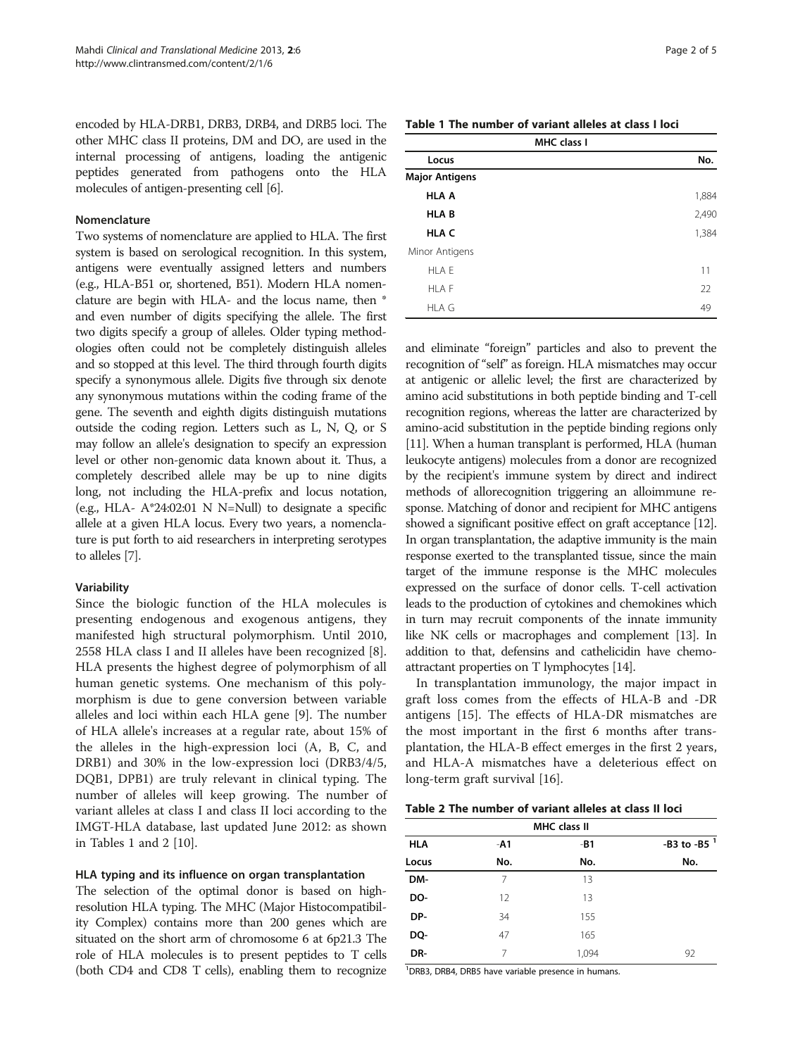encoded by HLA-DRB1, DRB3, DRB4, and DRB5 loci. The other MHC class II proteins, DM and DO, are used in the internal processing of antigens, loading the antigenic peptides generated from pathogens onto the HLA molecules of antigen-presenting cell [\[6\]](#page-3-0).

#### Nomenclature

Two systems of nomenclature are applied to HLA. The first system is based on serological recognition. In this system, antigens were eventually assigned letters and numbers (e.g., HLA-B51 or, shortened, B51). Modern HLA nomenclature are begin with HLA- and the locus name, then \* and even number of digits specifying the allele. The first two digits specify a group of alleles. Older typing methodologies often could not be completely distinguish alleles and so stopped at this level. The third through fourth digits specify a synonymous allele. Digits five through six denote any synonymous mutations within the coding frame of the gene. The seventh and eighth digits distinguish mutations outside the coding region. Letters such as L, N, Q, or S may follow an allele's designation to specify an expression level or other non-genomic data known about it. Thus, a completely described allele may be up to nine digits long, not including the HLA-prefix and locus notation, (e.g., HLA- A\*24:02:01 N N=Null) to designate a specific allele at a given HLA locus. Every two years, a nomenclature is put forth to aid researchers in interpreting serotypes to alleles [\[7\]](#page-3-0).

#### Variability

Since the biologic function of the HLA molecules is presenting endogenous and exogenous antigens, they manifested high structural polymorphism. Until 2010, 2558 HLA class I and II alleles have been recognized [\[8](#page-3-0)]. HLA presents the highest degree of polymorphism of all human genetic systems. One mechanism of this polymorphism is due to gene conversion between variable alleles and loci within each HLA gene [\[9](#page-3-0)]. The number of HLA allele's increases at a regular rate, about 15% of the alleles in the high-expression loci (A, B, C, and DRB1) and 30% in the low-expression loci (DRB3/4/5, DQB1, DPB1) are truly relevant in clinical typing. The number of alleles will keep growing. The number of variant alleles at class I and class II loci according to the IMGT-HLA database, last updated June 2012: as shown in Tables 1 and 2 [\[10](#page-3-0)].

#### HLA typing and its influence on organ transplantation

The selection of the optimal donor is based on highresolution HLA typing. The MHC (Major Histocompatibility Complex) contains more than 200 genes which are situated on the short arm of chromosome 6 at 6p21.3 The role of HLA molecules is to present peptides to T cells (both CD4 and CD8 T cells), enabling them to recognize

#### Table 1 The number of variant alleles at class I loci

| <b>MHC</b> class I    |       |  |  |  |
|-----------------------|-------|--|--|--|
| Locus                 | No.   |  |  |  |
| <b>Major Antigens</b> |       |  |  |  |
| <b>HLA A</b>          | 1,884 |  |  |  |
| <b>HLAB</b>           | 2,490 |  |  |  |
| <b>HLA C</b>          | 1,384 |  |  |  |
| Minor Antigens        |       |  |  |  |
| <b>HLA E</b>          | 11    |  |  |  |
| <b>HLAF</b>           | 22    |  |  |  |
| <b>HLA G</b>          | 49    |  |  |  |

and eliminate "foreign" particles and also to prevent the recognition of "self" as foreign. HLA mismatches may occur at antigenic or allelic level; the first are characterized by amino acid substitutions in both peptide binding and T-cell recognition regions, whereas the latter are characterized by amino-acid substitution in the peptide binding regions only [[11](#page-3-0)]. When a human transplant is performed, HLA (human leukocyte antigens) molecules from a donor are recognized by the recipient's immune system by direct and indirect methods of allorecognition triggering an alloimmune response. Matching of donor and recipient for MHC antigens showed a significant positive effect on graft acceptance [\[12](#page-3-0)]. In organ transplantation, the adaptive immunity is the main response exerted to the transplanted tissue, since the main target of the immune response is the MHC molecules expressed on the surface of donor cells. T-cell activation leads to the production of cytokines and chemokines which in turn may recruit components of the innate immunity like NK cells or macrophages and complement [[13](#page-3-0)]. In addition to that, defensins and cathelicidin have chemoattractant properties on T lymphocytes [\[14](#page-3-0)].

In transplantation immunology, the major impact in graft loss comes from the effects of HLA-B and -DR antigens [[15](#page-3-0)]. The effects of HLA-DR mismatches are the most important in the first 6 months after transplantation, the HLA-B effect emerges in the first 2 years, and HLA-A mismatches have a deleterious effect on long-term graft survival [\[16\]](#page-3-0).

| Table 2 The number of variant alleles at class II loci |  |  |  |  |
|--------------------------------------------------------|--|--|--|--|
|                                                        |  |  |  |  |

| <b>MHC</b> class II |     |       |                |  |  |  |
|---------------------|-----|-------|----------------|--|--|--|
| <b>HLA</b>          | -A1 | -B1   | -B3 to -B5 $1$ |  |  |  |
| Locus               | No. | No.   | No.            |  |  |  |
| DM-                 | 7   | 13    |                |  |  |  |
| DO-                 | 12  | 13    |                |  |  |  |
| DP-                 | 34  | 155   |                |  |  |  |
| DQ-                 | 47  | 165   |                |  |  |  |
| DR-                 | 7   | 1,094 | 92             |  |  |  |

<sup>1</sup>DRB3, DRB4, DRB5 have variable presence in humans.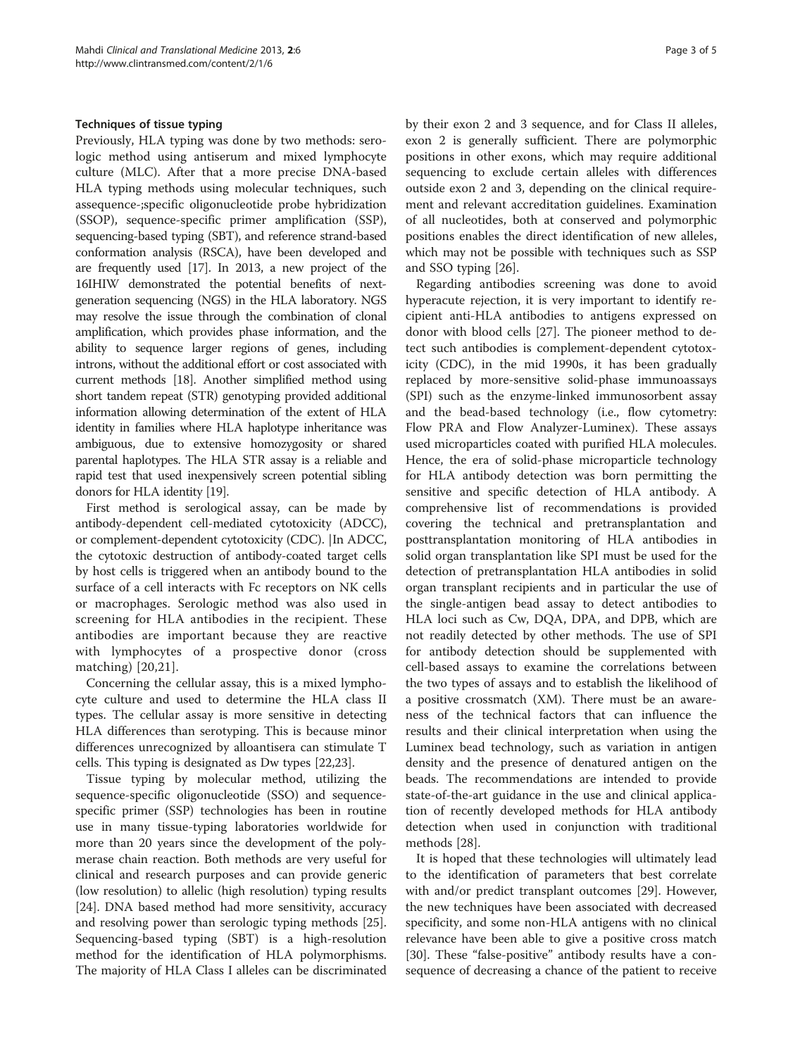#### Techniques of tissue typing

Previously, HLA typing was done by two methods: serologic method using antiserum and mixed lymphocyte culture (MLC). After that a more precise DNA-based HLA typing methods using molecular techniques, such assequence-;specific oligonucleotide probe hybridization (SSOP), sequence-specific primer amplification (SSP), sequencing-based typing (SBT), and reference strand-based conformation analysis (RSCA), have been developed and are frequently used [\[17\]](#page-3-0). In 2013, a new project of the 16IHIW demonstrated the potential benefits of nextgeneration sequencing (NGS) in the HLA laboratory. NGS may resolve the issue through the combination of clonal amplification, which provides phase information, and the ability to sequence larger regions of genes, including introns, without the additional effort or cost associated with current methods [\[18](#page-3-0)]. Another simplified method using short tandem repeat (STR) genotyping provided additional information allowing determination of the extent of HLA identity in families where HLA haplotype inheritance was ambiguous, due to extensive homozygosity or shared parental haplotypes. The HLA STR assay is a reliable and rapid test that used inexpensively screen potential sibling donors for HLA identity [[19](#page-4-0)].

First method is serological assay, can be made by antibody-dependent cell-mediated cytotoxicity (ADCC), or complement-dependent cytotoxicity (CDC). |In ADCC, the cytotoxic destruction of antibody-coated target cells by host cells is triggered when an antibody bound to the surface of a cell interacts with Fc receptors on NK cells or macrophages. Serologic method was also used in screening for HLA antibodies in the recipient. These antibodies are important because they are reactive with lymphocytes of a prospective donor (cross matching) [[20](#page-4-0),[21\]](#page-4-0).

Concerning the cellular assay, this is a mixed lymphocyte culture and used to determine the HLA class II types. The cellular assay is more sensitive in detecting HLA differences than serotyping. This is because minor differences unrecognized by alloantisera can stimulate T cells. This typing is designated as Dw types [[22](#page-4-0),[23](#page-4-0)].

Tissue typing by molecular method, utilizing the sequence-specific oligonucleotide (SSO) and sequencespecific primer (SSP) technologies has been in routine use in many tissue-typing laboratories worldwide for more than 20 years since the development of the polymerase chain reaction. Both methods are very useful for clinical and research purposes and can provide generic (low resolution) to allelic (high resolution) typing results [[24\]](#page-4-0). DNA based method had more sensitivity, accuracy and resolving power than serologic typing methods [\[25](#page-4-0)]. Sequencing-based typing (SBT) is a high-resolution method for the identification of HLA polymorphisms. The majority of HLA Class I alleles can be discriminated by their exon 2 and 3 sequence, and for Class II alleles, exon 2 is generally sufficient. There are polymorphic positions in other exons, which may require additional sequencing to exclude certain alleles with differences outside exon 2 and 3, depending on the clinical requirement and relevant accreditation guidelines. Examination of all nucleotides, both at conserved and polymorphic positions enables the direct identification of new alleles, which may not be possible with techniques such as SSP and SSO typing [[26\]](#page-4-0).

Regarding antibodies screening was done to avoid hyperacute rejection, it is very important to identify recipient anti-HLA antibodies to antigens expressed on donor with blood cells [[27](#page-4-0)]. The pioneer method to detect such antibodies is complement-dependent cytotoxicity (CDC), in the mid 1990s, it has been gradually replaced by more-sensitive solid-phase immunoassays (SPI) such as the enzyme-linked immunosorbent assay and the bead-based technology (i.e., flow cytometry: Flow PRA and Flow Analyzer-Luminex). These assays used microparticles coated with purified HLA molecules. Hence, the era of solid-phase microparticle technology for HLA antibody detection was born permitting the sensitive and specific detection of HLA antibody. A comprehensive list of recommendations is provided covering the technical and pretransplantation and posttransplantation monitoring of HLA antibodies in solid organ transplantation like SPI must be used for the detection of pretransplantation HLA antibodies in solid organ transplant recipients and in particular the use of the single-antigen bead assay to detect antibodies to HLA loci such as Cw, DQA, DPA, and DPB, which are not readily detected by other methods. The use of SPI for antibody detection should be supplemented with cell-based assays to examine the correlations between the two types of assays and to establish the likelihood of a positive crossmatch (XM). There must be an awareness of the technical factors that can influence the results and their clinical interpretation when using the Luminex bead technology, such as variation in antigen density and the presence of denatured antigen on the beads. The recommendations are intended to provide state-of-the-art guidance in the use and clinical application of recently developed methods for HLA antibody detection when used in conjunction with traditional methods [[28\]](#page-4-0).

It is hoped that these technologies will ultimately lead to the identification of parameters that best correlate with and/or predict transplant outcomes [[29](#page-4-0)]. However, the new techniques have been associated with decreased specificity, and some non-HLA antigens with no clinical relevance have been able to give a positive cross match [[30\]](#page-4-0). These "false-positive" antibody results have a consequence of decreasing a chance of the patient to receive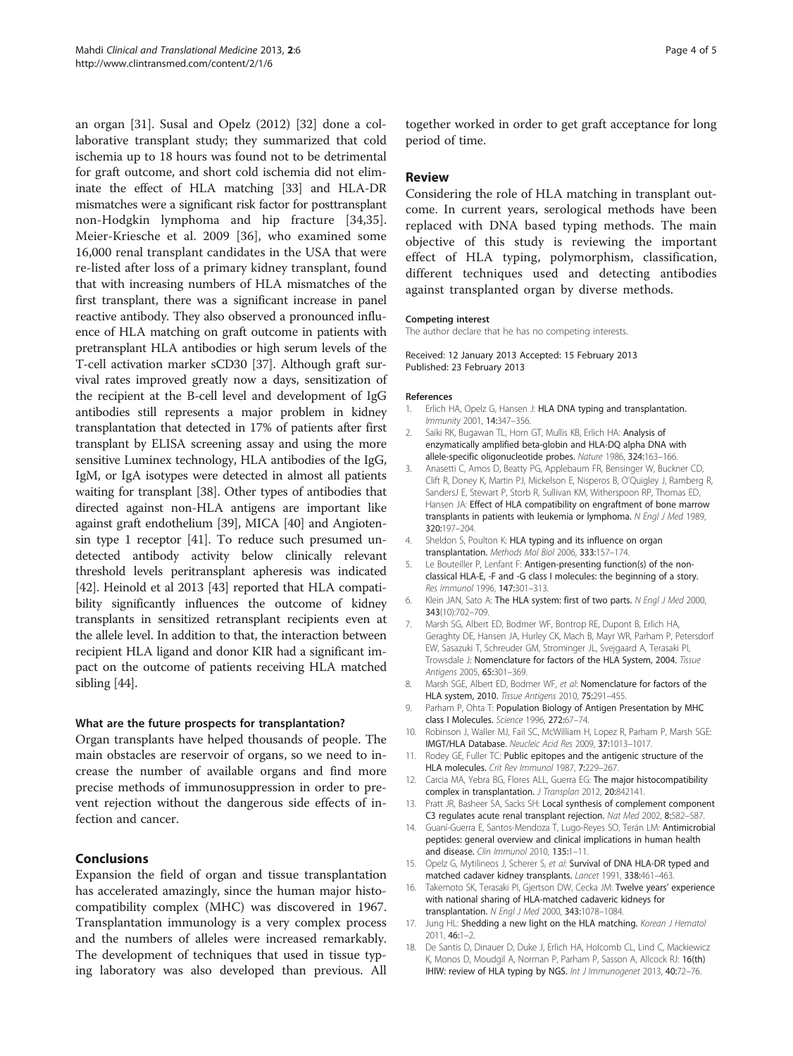<span id="page-3-0"></span>an organ [[31\]](#page-4-0). Susal and Opelz (2012) [\[32](#page-4-0)] done a collaborative transplant study; they summarized that cold ischemia up to 18 hours was found not to be detrimental for graft outcome, and short cold ischemia did not eliminate the effect of HLA matching [[33](#page-4-0)] and HLA-DR mismatches were a significant risk factor for posttransplant non-Hodgkin lymphoma and hip fracture [[34,35](#page-4-0)]. Meier-Kriesche et al. 2009 [[36\]](#page-4-0), who examined some 16,000 renal transplant candidates in the USA that were re-listed after loss of a primary kidney transplant, found that with increasing numbers of HLA mismatches of the first transplant, there was a significant increase in panel reactive antibody. They also observed a pronounced influence of HLA matching on graft outcome in patients with pretransplant HLA antibodies or high serum levels of the T-cell activation marker sCD30 [\[37\]](#page-4-0). Although graft survival rates improved greatly now a days, sensitization of the recipient at the B-cell level and development of IgG antibodies still represents a major problem in kidney transplantation that detected in 17% of patients after first transplant by ELISA screening assay and using the more sensitive Luminex technology, HLA antibodies of the IgG, IgM, or IgA isotypes were detected in almost all patients waiting for transplant [[38](#page-4-0)]. Other types of antibodies that directed against non-HLA antigens are important like against graft endothelium [\[39\]](#page-4-0), MICA [\[40\]](#page-4-0) and Angiotensin type 1 receptor [[41](#page-4-0)]. To reduce such presumed undetected antibody activity below clinically relevant threshold levels peritransplant apheresis was indicated [[42](#page-4-0)]. Heinold et al 2013 [\[43\]](#page-4-0) reported that HLA compatibility significantly influences the outcome of kidney transplants in sensitized retransplant recipients even at the allele level. In addition to that, the interaction between recipient HLA ligand and donor KIR had a significant impact on the outcome of patients receiving HLA matched sibling [\[44](#page-4-0)].

#### What are the future prospects for transplantation?

Organ transplants have helped thousands of people. The main obstacles are reservoir of organs, so we need to increase the number of available organs and find more precise methods of immunosuppression in order to prevent rejection without the dangerous side effects of infection and cancer.

# Conclusions

Expansion the field of organ and tissue transplantation has accelerated amazingly, since the human major histocompatibility complex (MHC) was discovered in 1967. Transplantation immunology is a very complex process and the numbers of alleles were increased remarkably. The development of techniques that used in tissue typing laboratory was also developed than previous. All together worked in order to get graft acceptance for long period of time.

### Review

Considering the role of HLA matching in transplant outcome. In current years, serological methods have been replaced with DNA based typing methods. The main objective of this study is reviewing the important effect of HLA typing, polymorphism, classification, different techniques used and detecting antibodies against transplanted organ by diverse methods.

#### Competing interest

The author declare that he has no competing interests.

Received: 12 January 2013 Accepted: 15 February 2013 Published: 23 February 2013

#### References

- 1. Erlich HA, Opelz G, Hansen J: HLA DNA typing and transplantation. Immunity 2001, 14:347–356.
- 2. Saiki RK, Bugawan TL, Horn GT, Mullis KB, Erlich HA: Analysis of enzymatically amplified beta-globin and HLA-DQ alpha DNA with allele-specific oligonucleotide probes. Nature 1986, 324:163–166.
- 3. Anasetti C, Amos D, Beatty PG, Applebaum FR, Bensinger W, Buckner CD, Clift R, Doney K, Martin PJ, Mickelson E, Nisperos B, O'Quigley J, Ramberg R, SandersJ E, Stewart P, Storb R, Sullivan KM, Witherspoon RP, Thomas ED, Hansen JA: Effect of HLA compatibility on engraftment of bone marrow transplants in patients with leukemia or lymphoma. N Engl J Med 1989, 320:197–204.
- 4. Sheldon S, Poulton K: HLA typing and its influence on organ transplantation. Methods Mol Biol 2006, 333:157–174.
- 5. Le Bouteiller P, Lenfant F: Antigen-presenting function(s) of the nonclassical HLA-E, -F and -G class I molecules: the beginning of a story. Res Immunol 1996, 147:301–313.
- 6. Klein JAN, Sato A: The HLA system: first of two parts. N Engl J Med 2000, 343(10):702–709.
- 7. Marsh SG, Albert ED, Bodmer WF, Bontrop RE, Dupont B, Erlich HA, Geraghty DE, Hansen JA, Hurley CK, Mach B, Mayr WR, Parham P, Petersdorf EW, Sasazuki T, Schreuder GM, Strominger JL, Svejgaard A, Terasaki PI, Trowsdale J: Nomenclature for factors of the HLA System, 2004. Tissue Antigens 2005, 65:301–369.
- 8. Marsh SGE, Albert ED, Bodmer WE, et al: Nomenclature for factors of the HLA system, 2010. Tissue Antigens 2010, 75:291–455.
- 9. Parham P, Ohta T: Population Biology of Antigen Presentation by MHC class I Molecules. Science 1996, 272:67–74.
- 10. Robinson J, Waller MJ, Fail SC, McWilliam H, Lopez R, Parham P, Marsh SGE: IMGT/HLA Database. Neucleic Acid Res 2009, 37:1013–1017.
- 11. Rodey GE, Fuller TC: Public epitopes and the antigenic structure of the HLA molecules. Crit Rev Immunol 1987, 7:229–267.
- 12. Carcia MA, Yebra BG, Flores ALL, Guerra EG: The major histocompatibility complex in transplantation. J Transplan 2012, 20:842141.
- 13. Pratt JR, Basheer SA, Sacks SH: Local synthesis of complement component C3 regulates acute renal transplant rejection. Nat Med 2002, 8:582–587.
- 14. Guaní-Guerra E, Santos-Mendoza T, Lugo-Reyes SO, Terán LM: Antimicrobial peptides: general overview and clinical implications in human health and disease. Clin Immunol 2010, 135:1-11.
- 15. Opelz G, Mytilineos J, Scherer S, et al: Survival of DNA HLA-DR typed and matched cadaver kidney transplants. Lancet 1991, 338:461–463.
- 16. Takemoto SK, Terasaki PI, Gjertson DW, Cecka JM: Twelve years' experience with national sharing of HLA-matched cadaveric kidneys for transplantation. N Engl J Med 2000, 343:1078–1084.
- 17. Jung HL: Shedding a new light on the HLA matching. Korean J Hematol 2011, 46:1–2.
- 18. De Santis D, Dinauer D, Duke J, Erlich HA, Holcomb CL, Lind C, Mackiewicz K, Monos D, Moudgil A, Norman P, Parham P, Sasson A, Allcock RJ: 16(th) IHIW: review of HLA typing by NGS. Int J Immunogenet 2013, 40:72–76.